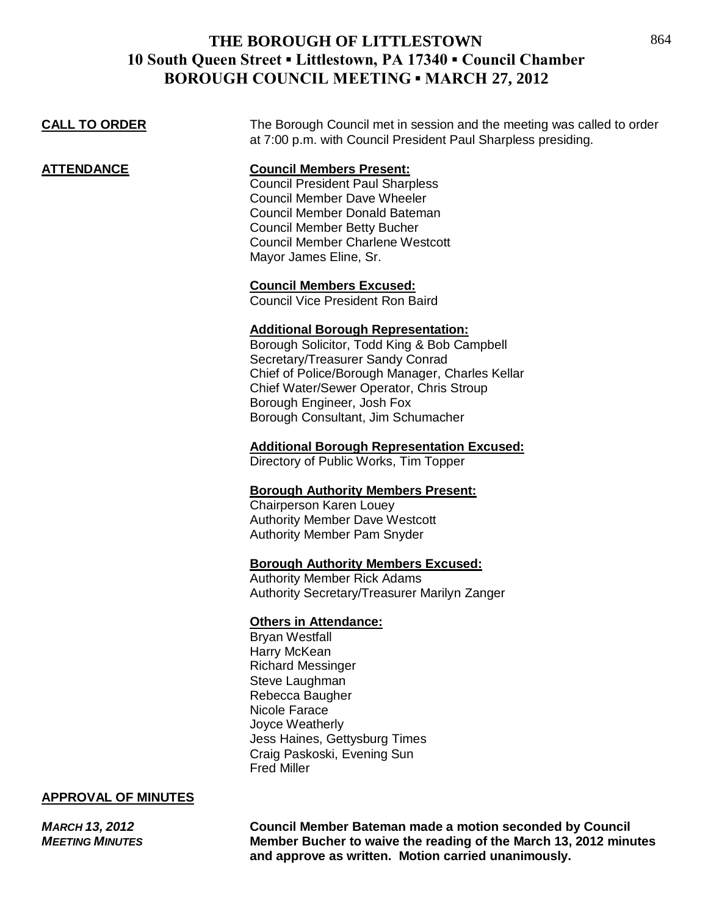**CALL TO ORDER** The Borough Council met in session and the meeting was called to order at 7:00 p.m. with Council President Paul Sharpless presiding.

**ATTENDANCE Council Members Present:**

Council President Paul Sharpless Council Member Dave Wheeler Council Member Donald Bateman Council Member Betty Bucher Council Member Charlene Westcott Mayor James Eline, Sr.

**Council Members Excused:**

Council Vice President Ron Baird

## **Additional Borough Representation:**

Borough Solicitor, Todd King & Bob Campbell Secretary/Treasurer Sandy Conrad Chief of Police/Borough Manager, Charles Kellar Chief Water/Sewer Operator, Chris Stroup Borough Engineer, Josh Fox Borough Consultant, Jim Schumacher

## **Additional Borough Representation Excused:**

Directory of Public Works, Tim Topper

## **Borough Authority Members Present:**

Chairperson Karen Louey Authority Member Dave Westcott Authority Member Pam Snyder

## **Borough Authority Members Excused:**

Authority Member Rick Adams Authority Secretary/Treasurer Marilyn Zanger

## **Others in Attendance:**

Bryan Westfall Harry McKean Richard Messinger Steve Laughman Rebecca Baugher Nicole Farace Joyce Weatherly Jess Haines, Gettysburg Times Craig Paskoski, Evening Sun Fred Miller

## **APPROVAL OF MINUTES**

*MARCH 13, 2012* **Council Member Bateman made a motion seconded by Council** *MEETING MINUTES* **Member Bucher to waive the reading of the March 13, 2012 minutes and approve as written. Motion carried unanimously.**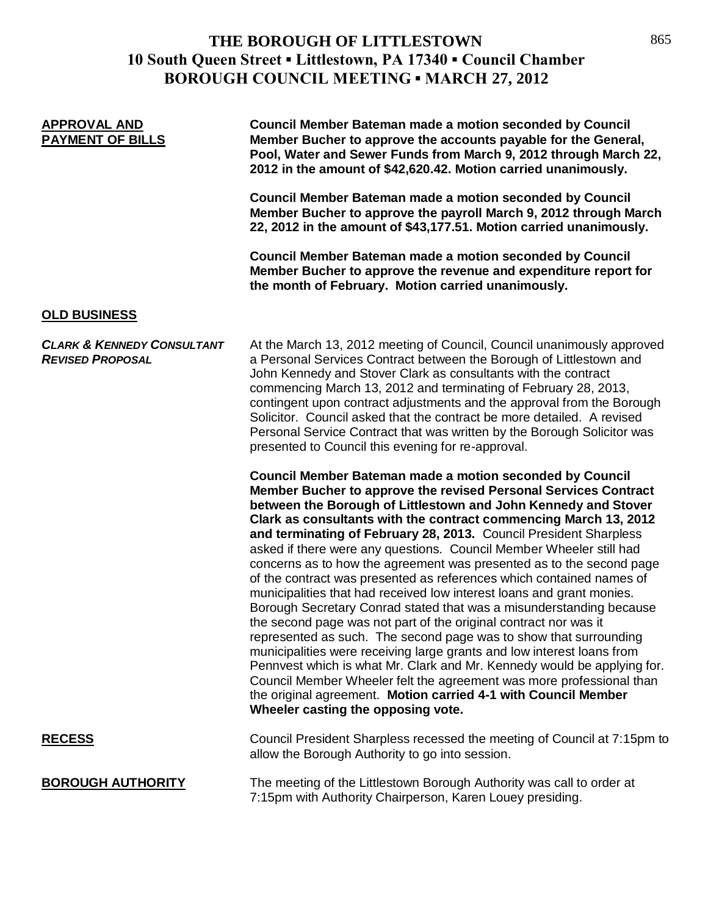| <b>APPROVAL AND</b><br><b>PAYMENT OF BILLS</b>                   | <b>Council Member Bateman made a motion seconded by Council</b><br>Member Bucher to approve the accounts payable for the General,<br>Pool, Water and Sewer Funds from March 9, 2012 through March 22,<br>2012 in the amount of \$42,620.42. Motion carried unanimously.                                                                                                                                                                                                                                                                                                                                                                                                                                                                                                                                                                                                                                                                                                                                                                                                                                                                                                                     |
|------------------------------------------------------------------|---------------------------------------------------------------------------------------------------------------------------------------------------------------------------------------------------------------------------------------------------------------------------------------------------------------------------------------------------------------------------------------------------------------------------------------------------------------------------------------------------------------------------------------------------------------------------------------------------------------------------------------------------------------------------------------------------------------------------------------------------------------------------------------------------------------------------------------------------------------------------------------------------------------------------------------------------------------------------------------------------------------------------------------------------------------------------------------------------------------------------------------------------------------------------------------------|
|                                                                  | <b>Council Member Bateman made a motion seconded by Council</b><br>Member Bucher to approve the payroll March 9, 2012 through March<br>22, 2012 in the amount of \$43,177.51. Motion carried unanimously.                                                                                                                                                                                                                                                                                                                                                                                                                                                                                                                                                                                                                                                                                                                                                                                                                                                                                                                                                                                   |
|                                                                  | <b>Council Member Bateman made a motion seconded by Council</b><br>Member Bucher to approve the revenue and expenditure report for<br>the month of February. Motion carried unanimously.                                                                                                                                                                                                                                                                                                                                                                                                                                                                                                                                                                                                                                                                                                                                                                                                                                                                                                                                                                                                    |
| <b>OLD BUSINESS</b>                                              |                                                                                                                                                                                                                                                                                                                                                                                                                                                                                                                                                                                                                                                                                                                                                                                                                                                                                                                                                                                                                                                                                                                                                                                             |
| <b>CLARK &amp; KENNEDY CONSULTANT</b><br><b>REVISED PROPOSAL</b> | At the March 13, 2012 meeting of Council, Council unanimously approved<br>a Personal Services Contract between the Borough of Littlestown and<br>John Kennedy and Stover Clark as consultants with the contract<br>commencing March 13, 2012 and terminating of February 28, 2013,<br>contingent upon contract adjustments and the approval from the Borough<br>Solicitor. Council asked that the contract be more detailed. A revised<br>Personal Service Contract that was written by the Borough Solicitor was<br>presented to Council this evening for re-approval.                                                                                                                                                                                                                                                                                                                                                                                                                                                                                                                                                                                                                     |
|                                                                  | Council Member Bateman made a motion seconded by Council<br>Member Bucher to approve the revised Personal Services Contract<br>between the Borough of Littlestown and John Kennedy and Stover<br>Clark as consultants with the contract commencing March 13, 2012<br>and terminating of February 28, 2013. Council President Sharpless<br>asked if there were any questions. Council Member Wheeler still had<br>concerns as to how the agreement was presented as to the second page<br>of the contract was presented as references which contained names of<br>municipalities that had received low interest loans and grant monies.<br>Borough Secretary Conrad stated that was a misunderstanding because<br>the second page was not part of the original contract nor was it<br>represented as such. The second page was to show that surrounding<br>municipalities were receiving large grants and low interest loans from<br>Pennvest which is what Mr. Clark and Mr. Kennedy would be applying for.<br>Council Member Wheeler felt the agreement was more professional than<br>the original agreement. Motion carried 4-1 with Council Member<br>Wheeler casting the opposing vote. |
| <b>RECESS</b>                                                    | Council President Sharpless recessed the meeting of Council at 7:15pm to<br>allow the Borough Authority to go into session.                                                                                                                                                                                                                                                                                                                                                                                                                                                                                                                                                                                                                                                                                                                                                                                                                                                                                                                                                                                                                                                                 |
| <b>BOROUGH AUTHORITY</b>                                         | The meeting of the Littlestown Borough Authority was call to order at<br>7:15pm with Authority Chairperson, Karen Louey presiding.                                                                                                                                                                                                                                                                                                                                                                                                                                                                                                                                                                                                                                                                                                                                                                                                                                                                                                                                                                                                                                                          |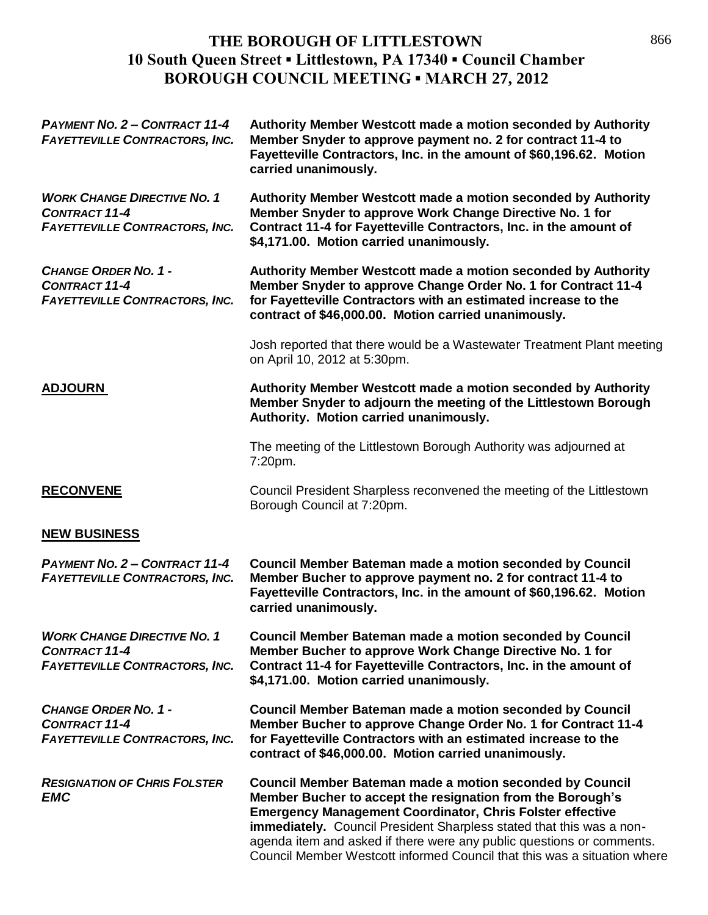| <b>PAYMENT NO. 2 - CONTRACT 11-4</b><br><b>FAYETTEVILLE CONTRACTORS, INC.</b>                       | Authority Member Westcott made a motion seconded by Authority<br>Member Snyder to approve payment no. 2 for contract 11-4 to<br>Fayetteville Contractors, Inc. in the amount of \$60,196.62. Motion<br>carried unanimously.                                                                                                                                                                                                    |
|-----------------------------------------------------------------------------------------------------|--------------------------------------------------------------------------------------------------------------------------------------------------------------------------------------------------------------------------------------------------------------------------------------------------------------------------------------------------------------------------------------------------------------------------------|
| <b>WORK CHANGE DIRECTIVE NO. 1</b><br><b>CONTRACT 11-4</b><br><b>FAYETTEVILLE CONTRACTORS, INC.</b> | Authority Member Westcott made a motion seconded by Authority<br>Member Snyder to approve Work Change Directive No. 1 for<br>Contract 11-4 for Fayetteville Contractors, Inc. in the amount of<br>\$4,171.00. Motion carried unanimously.                                                                                                                                                                                      |
| <b>CHANGE ORDER NO. 1 -</b><br><b>CONTRACT 11-4</b><br><b>FAYETTEVILLE CONTRACTORS, INC.</b>        | Authority Member Westcott made a motion seconded by Authority<br>Member Snyder to approve Change Order No. 1 for Contract 11-4<br>for Fayetteville Contractors with an estimated increase to the<br>contract of \$46,000.00. Motion carried unanimously.                                                                                                                                                                       |
|                                                                                                     | Josh reported that there would be a Wastewater Treatment Plant meeting<br>on April 10, 2012 at 5:30pm.                                                                                                                                                                                                                                                                                                                         |
| <b>ADJOURN</b>                                                                                      | Authority Member Westcott made a motion seconded by Authority<br>Member Snyder to adjourn the meeting of the Littlestown Borough<br>Authority. Motion carried unanimously.                                                                                                                                                                                                                                                     |
|                                                                                                     | The meeting of the Littlestown Borough Authority was adjourned at<br>7:20pm.                                                                                                                                                                                                                                                                                                                                                   |
| <b>RECONVENE</b>                                                                                    | Council President Sharpless reconvened the meeting of the Littlestown<br>Borough Council at 7:20pm.                                                                                                                                                                                                                                                                                                                            |
| <b>NEW BUSINESS</b>                                                                                 |                                                                                                                                                                                                                                                                                                                                                                                                                                |
| <b>PAYMENT NO. 2 - CONTRACT 11-4</b><br><b>FAYETTEVILLE CONTRACTORS, INC.</b>                       | <b>Council Member Bateman made a motion seconded by Council</b><br>Member Bucher to approve payment no. 2 for contract 11-4 to<br>Fayetteville Contractors, Inc. in the amount of \$60,196.62. Motion<br>carried unanimously.                                                                                                                                                                                                  |
| <b>WORK CHANGE DIRECTIVE NO. 1</b><br><b>CONTRACT 11-4</b><br><b>FAYETTEVILLE CONTRACTORS, INC.</b> | <b>Council Member Bateman made a motion seconded by Council</b><br>Member Bucher to approve Work Change Directive No. 1 for<br>Contract 11-4 for Fayetteville Contractors, Inc. in the amount of<br>\$4,171.00. Motion carried unanimously.                                                                                                                                                                                    |
| <b>CHANGE ORDER NO. 1 -</b><br><b>CONTRACT 11-4</b><br><b>FAYETTEVILLE CONTRACTORS, INC.</b>        | <b>Council Member Bateman made a motion seconded by Council</b><br>Member Bucher to approve Change Order No. 1 for Contract 11-4<br>for Fayetteville Contractors with an estimated increase to the<br>contract of \$46,000.00. Motion carried unanimously.                                                                                                                                                                     |
| <b>RESIGNATION OF CHRIS FOLSTER</b><br><b>EMC</b>                                                   | <b>Council Member Bateman made a motion seconded by Council</b><br>Member Bucher to accept the resignation from the Borough's<br><b>Emergency Management Coordinator, Chris Folster effective</b><br>immediately. Council President Sharpless stated that this was a non-<br>agenda item and asked if there were any public questions or comments.<br>Council Member Westcott informed Council that this was a situation where |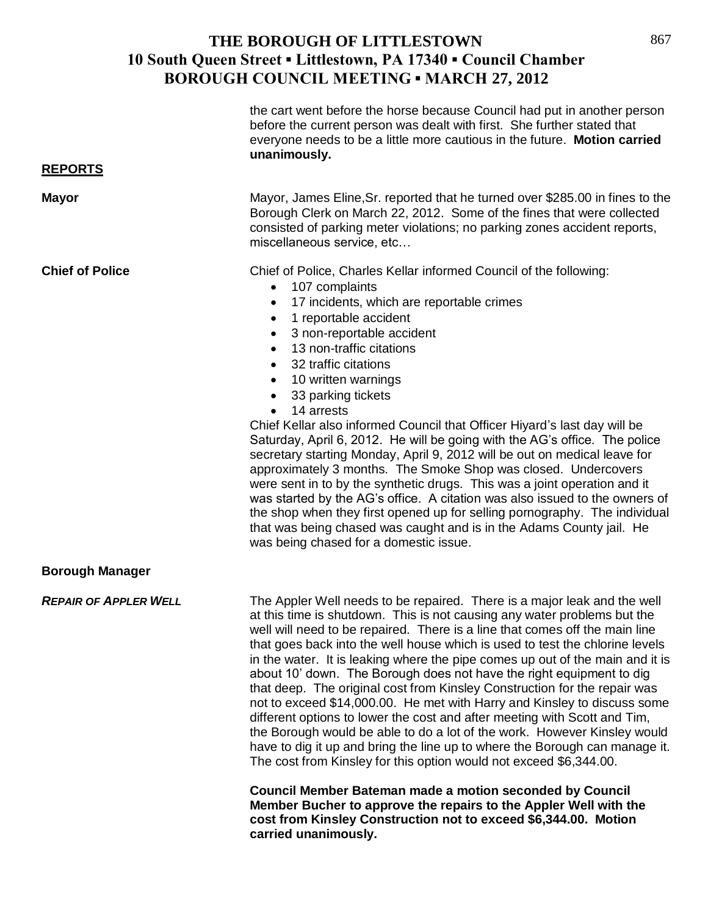| <b>REPORTS</b>               | the cart went before the horse because Council had put in another person<br>before the current person was dealt with first. She further stated that<br>everyone needs to be a little more cautious in the future. Motion carried<br>unanimously.                                                                                                                                                                                                                                                                                                                                                                                                                                                                                                                                                                                                                                                                                                                                                                                                                                                                                                              |
|------------------------------|---------------------------------------------------------------------------------------------------------------------------------------------------------------------------------------------------------------------------------------------------------------------------------------------------------------------------------------------------------------------------------------------------------------------------------------------------------------------------------------------------------------------------------------------------------------------------------------------------------------------------------------------------------------------------------------------------------------------------------------------------------------------------------------------------------------------------------------------------------------------------------------------------------------------------------------------------------------------------------------------------------------------------------------------------------------------------------------------------------------------------------------------------------------|
| <b>Mayor</b>                 | Mayor, James Eline, Sr. reported that he turned over \$285.00 in fines to the<br>Borough Clerk on March 22, 2012. Some of the fines that were collected<br>consisted of parking meter violations; no parking zones accident reports,<br>miscellaneous service, etc                                                                                                                                                                                                                                                                                                                                                                                                                                                                                                                                                                                                                                                                                                                                                                                                                                                                                            |
| <b>Chief of Police</b>       | Chief of Police, Charles Kellar informed Council of the following:<br>107 complaints<br>$\bullet$<br>17 incidents, which are reportable crimes<br>$\bullet$<br>1 reportable accident<br>$\bullet$<br>3 non-reportable accident<br>13 non-traffic citations<br>32 traffic citations<br>10 written warnings<br>$\bullet$<br>33 parking tickets<br>14 arrests<br>Chief Kellar also informed Council that Officer Hiyard's last day will be<br>Saturday, April 6, 2012. He will be going with the AG's office. The police<br>secretary starting Monday, April 9, 2012 will be out on medical leave for<br>approximately 3 months. The Smoke Shop was closed. Undercovers<br>were sent in to by the synthetic drugs. This was a joint operation and it<br>was started by the AG's office. A citation was also issued to the owners of<br>the shop when they first opened up for selling pornography. The individual<br>that was being chased was caught and is in the Adams County jail. He<br>was being chased for a domestic issue.                                                                                                                              |
| <b>Borough Manager</b>       |                                                                                                                                                                                                                                                                                                                                                                                                                                                                                                                                                                                                                                                                                                                                                                                                                                                                                                                                                                                                                                                                                                                                                               |
| <b>REPAIR OF APPLER WELL</b> | The Appler Well needs to be repaired. There is a major leak and the well<br>at this time is shutdown. This is not causing any water problems but the<br>well will need to be repaired. There is a line that comes off the main line<br>that goes back into the well house which is used to test the chlorine levels<br>in the water. It is leaking where the pipe comes up out of the main and it is<br>about 10' down. The Borough does not have the right equipment to dig<br>that deep. The original cost from Kinsley Construction for the repair was<br>not to exceed \$14,000.00. He met with Harry and Kinsley to discuss some<br>different options to lower the cost and after meeting with Scott and Tim,<br>the Borough would be able to do a lot of the work. However Kinsley would<br>have to dig it up and bring the line up to where the Borough can manage it.<br>The cost from Kinsley for this option would not exceed \$6,344.00.<br><b>Council Member Bateman made a motion seconded by Council</b><br>Member Bucher to approve the repairs to the Appler Well with the<br>cost from Kinsley Construction not to exceed \$6,344.00. Motion |
|                              | carried unanimously.                                                                                                                                                                                                                                                                                                                                                                                                                                                                                                                                                                                                                                                                                                                                                                                                                                                                                                                                                                                                                                                                                                                                          |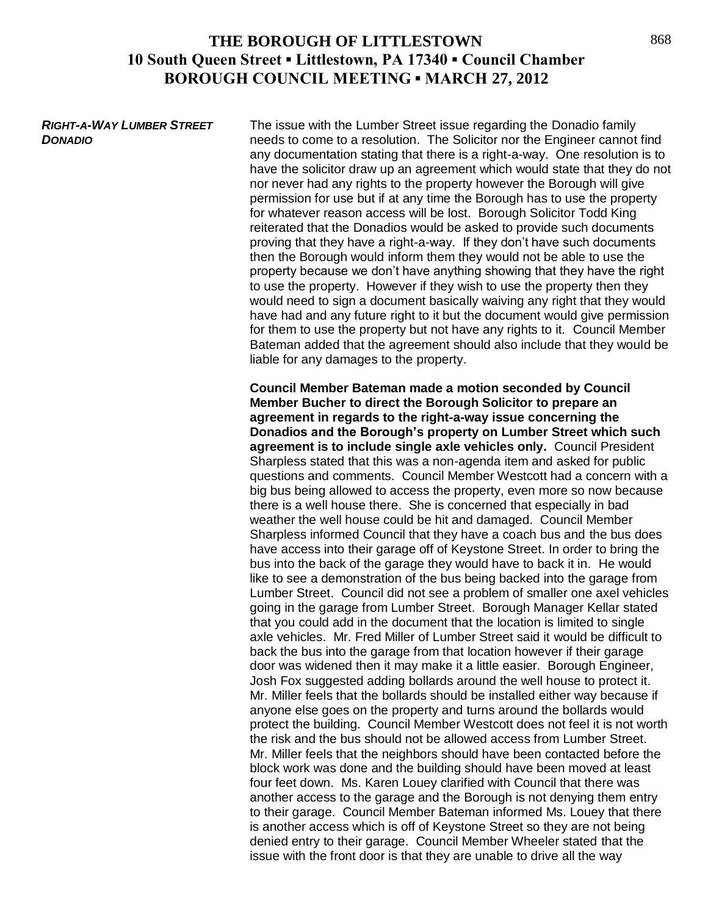*RIGHT-A-WAY LUMBER STREET* The issue with the Lumber Street issue regarding the Donadio family **DONADIO needs to come to a resolution.** The Solicitor nor the Engineer cannot find any documentation stating that there is a right-a-way. One resolution is to have the solicitor draw up an agreement which would state that they do not nor never had any rights to the property however the Borough will give permission for use but if at any time the Borough has to use the property for whatever reason access will be lost. Borough Solicitor Todd King reiterated that the Donadios would be asked to provide such documents proving that they have a right-a-way. If they don't have such documents then the Borough would inform them they would not be able to use the property because we don't have anything showing that they have the right to use the property. However if they wish to use the property then they would need to sign a document basically waiving any right that they would have had and any future right to it but the document would give permission for them to use the property but not have any rights to it. Council Member Bateman added that the agreement should also include that they would be liable for any damages to the property.

> **Council Member Bateman made a motion seconded by Council Member Bucher to direct the Borough Solicitor to prepare an agreement in regards to the right-a-way issue concerning the Donadios and the Borough's property on Lumber Street which such agreement is to include single axle vehicles only.** Council President Sharpless stated that this was a non-agenda item and asked for public questions and comments. Council Member Westcott had a concern with a big bus being allowed to access the property, even more so now because there is a well house there. She is concerned that especially in bad weather the well house could be hit and damaged. Council Member Sharpless informed Council that they have a coach bus and the bus does have access into their garage off of Keystone Street. In order to bring the bus into the back of the garage they would have to back it in. He would like to see a demonstration of the bus being backed into the garage from Lumber Street. Council did not see a problem of smaller one axel vehicles going in the garage from Lumber Street. Borough Manager Kellar stated that you could add in the document that the location is limited to single axle vehicles. Mr. Fred Miller of Lumber Street said it would be difficult to back the bus into the garage from that location however if their garage door was widened then it may make it a little easier. Borough Engineer, Josh Fox suggested adding bollards around the well house to protect it. Mr. Miller feels that the bollards should be installed either way because if anyone else goes on the property and turns around the bollards would protect the building. Council Member Westcott does not feel it is not worth the risk and the bus should not be allowed access from Lumber Street. Mr. Miller feels that the neighbors should have been contacted before the block work was done and the building should have been moved at least four feet down. Ms. Karen Louey clarified with Council that there was another access to the garage and the Borough is not denying them entry to their garage. Council Member Bateman informed Ms. Louey that there is another access which is off of Keystone Street so they are not being denied entry to their garage. Council Member Wheeler stated that the issue with the front door is that they are unable to drive all the way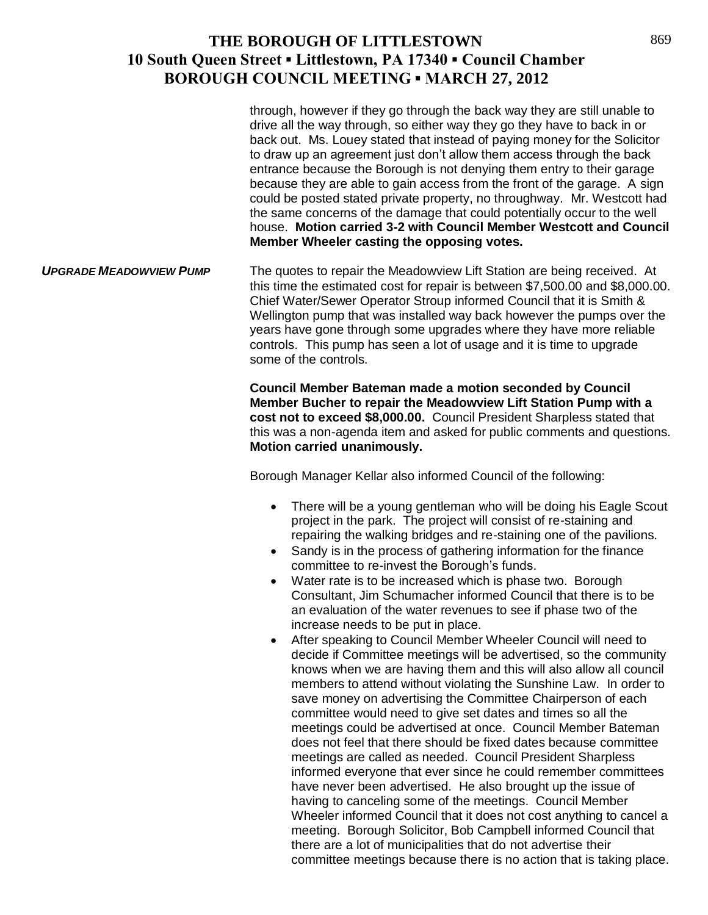through, however if they go through the back way they are still unable to drive all the way through, so either way they go they have to back in or back out. Ms. Louey stated that instead of paying money for the Solicitor to draw up an agreement just don't allow them access through the back entrance because the Borough is not denying them entry to their garage because they are able to gain access from the front of the garage. A sign could be posted stated private property, no throughway. Mr. Westcott had the same concerns of the damage that could potentially occur to the well house. **Motion carried 3-2 with Council Member Westcott and Council Member Wheeler casting the opposing votes.** *UPGRADE MEADOWVIEW PUMP* The quotes to repair the Meadowview Lift Station are being received. At this time the estimated cost for repair is between \$7,500.00 and \$8,000.00. Chief Water/Sewer Operator Stroup informed Council that it is Smith & Wellington pump that was installed way back however the pumps over the years have gone through some upgrades where they have more reliable controls. This pump has seen a lot of usage and it is time to upgrade some of the controls. **Council Member Bateman made a motion seconded by Council Member Bucher to repair the Meadowview Lift Station Pump with a cost not to exceed \$8,000.00.** Council President Sharpless stated that this was a non-agenda item and asked for public comments and questions. **Motion carried unanimously.** Borough Manager Kellar also informed Council of the following: • There will be a young gentleman who will be doing his Eagle Scout project in the park. The project will consist of re-staining and repairing the walking bridges and re-staining one of the pavilions. • Sandy is in the process of gathering information for the finance committee to re-invest the Borough's funds. Water rate is to be increased which is phase two. Borough Consultant, Jim Schumacher informed Council that there is to be an evaluation of the water revenues to see if phase two of the increase needs to be put in place. After speaking to Council Member Wheeler Council will need to decide if Committee meetings will be advertised, so the community knows when we are having them and this will also allow all council members to attend without violating the Sunshine Law. In order to save money on advertising the Committee Chairperson of each committee would need to give set dates and times so all the meetings could be advertised at once. Council Member Bateman does not feel that there should be fixed dates because committee meetings are called as needed. Council President Sharpless informed everyone that ever since he could remember committees have never been advertised. He also brought up the issue of having to canceling some of the meetings. Council Member Wheeler informed Council that it does not cost anything to cancel a meeting. Borough Solicitor, Bob Campbell informed Council that there are a lot of municipalities that do not advertise their

committee meetings because there is no action that is taking place.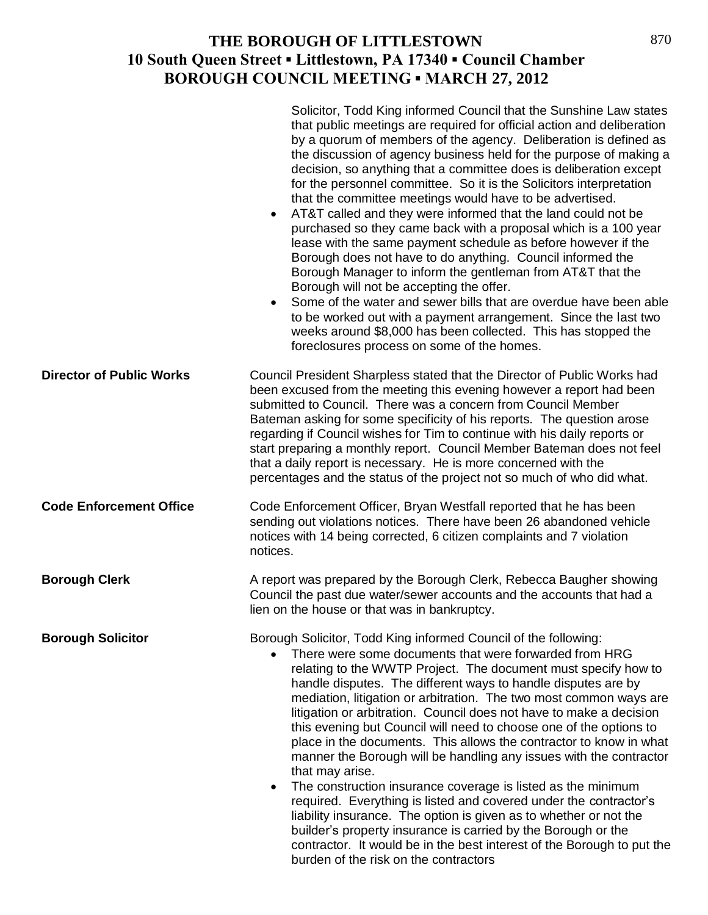|                                 | Solicitor, Todd King informed Council that the Sunshine Law states<br>that public meetings are required for official action and deliberation<br>by a quorum of members of the agency. Deliberation is defined as<br>the discussion of agency business held for the purpose of making a<br>decision, so anything that a committee does is deliberation except<br>for the personnel committee. So it is the Solicitors interpretation<br>that the committee meetings would have to be advertised.<br>AT&T called and they were informed that the land could not be<br>$\bullet$<br>purchased so they came back with a proposal which is a 100 year<br>lease with the same payment schedule as before however if the<br>Borough does not have to do anything. Council informed the<br>Borough Manager to inform the gentleman from AT&T that the<br>Borough will not be accepting the offer.<br>Some of the water and sewer bills that are overdue have been able<br>$\bullet$<br>to be worked out with a payment arrangement. Since the last two<br>weeks around \$8,000 has been collected. This has stopped the<br>foreclosures process on some of the homes. |
|---------------------------------|---------------------------------------------------------------------------------------------------------------------------------------------------------------------------------------------------------------------------------------------------------------------------------------------------------------------------------------------------------------------------------------------------------------------------------------------------------------------------------------------------------------------------------------------------------------------------------------------------------------------------------------------------------------------------------------------------------------------------------------------------------------------------------------------------------------------------------------------------------------------------------------------------------------------------------------------------------------------------------------------------------------------------------------------------------------------------------------------------------------------------------------------------------------|
| <b>Director of Public Works</b> | Council President Sharpless stated that the Director of Public Works had<br>been excused from the meeting this evening however a report had been<br>submitted to Council. There was a concern from Council Member<br>Bateman asking for some specificity of his reports. The question arose<br>regarding if Council wishes for Tim to continue with his daily reports or<br>start preparing a monthly report. Council Member Bateman does not feel<br>that a daily report is necessary. He is more concerned with the<br>percentages and the status of the project not so much of who did what.                                                                                                                                                                                                                                                                                                                                                                                                                                                                                                                                                               |
| <b>Code Enforcement Office</b>  | Code Enforcement Officer, Bryan Westfall reported that he has been<br>sending out violations notices. There have been 26 abandoned vehicle<br>notices with 14 being corrected, 6 citizen complaints and 7 violation<br>notices.                                                                                                                                                                                                                                                                                                                                                                                                                                                                                                                                                                                                                                                                                                                                                                                                                                                                                                                               |
| <b>Borough Clerk</b>            | A report was prepared by the Borough Clerk, Rebecca Baugher showing<br>Council the past due water/sewer accounts and the accounts that had a<br>lien on the house or that was in bankruptcy.                                                                                                                                                                                                                                                                                                                                                                                                                                                                                                                                                                                                                                                                                                                                                                                                                                                                                                                                                                  |
| <b>Borough Solicitor</b>        | Borough Solicitor, Todd King informed Council of the following:<br>There were some documents that were forwarded from HRG<br>relating to the WWTP Project. The document must specify how to<br>handle disputes. The different ways to handle disputes are by<br>mediation, litigation or arbitration. The two most common ways are<br>litigation or arbitration. Council does not have to make a decision<br>this evening but Council will need to choose one of the options to<br>place in the documents. This allows the contractor to know in what<br>manner the Borough will be handling any issues with the contractor<br>that may arise.<br>The construction insurance coverage is listed as the minimum<br>$\bullet$<br>required. Everything is listed and covered under the contractor's<br>liability insurance. The option is given as to whether or not the<br>builder's property insurance is carried by the Borough or the<br>contractor. It would be in the best interest of the Borough to put the<br>burden of the risk on the contractors                                                                                                     |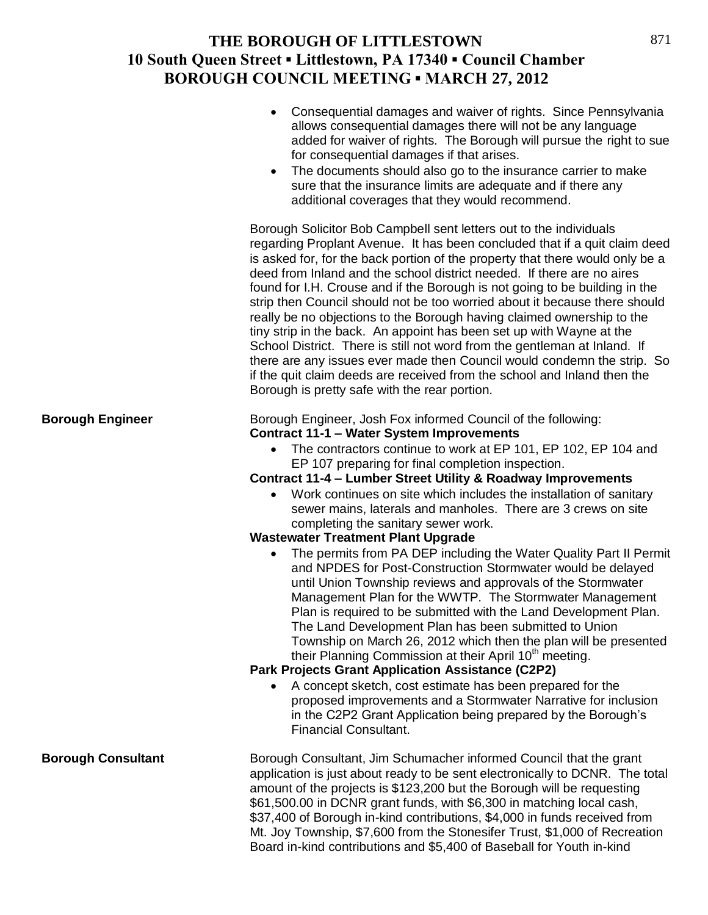|                           | Consequential damages and waiver of rights. Since Pennsylvania<br>$\bullet$<br>allows consequential damages there will not be any language<br>added for waiver of rights. The Borough will pursue the right to sue<br>for consequential damages if that arises.<br>The documents should also go to the insurance carrier to make<br>$\bullet$<br>sure that the insurance limits are adequate and if there any<br>additional coverages that they would recommend.                                                                                                                                                                                                                                                                                                                                                                                                                                                |
|---------------------------|-----------------------------------------------------------------------------------------------------------------------------------------------------------------------------------------------------------------------------------------------------------------------------------------------------------------------------------------------------------------------------------------------------------------------------------------------------------------------------------------------------------------------------------------------------------------------------------------------------------------------------------------------------------------------------------------------------------------------------------------------------------------------------------------------------------------------------------------------------------------------------------------------------------------|
|                           | Borough Solicitor Bob Campbell sent letters out to the individuals<br>regarding Proplant Avenue. It has been concluded that if a quit claim deed<br>is asked for, for the back portion of the property that there would only be a<br>deed from Inland and the school district needed. If there are no aires<br>found for I.H. Crouse and if the Borough is not going to be building in the<br>strip then Council should not be too worried about it because there should<br>really be no objections to the Borough having claimed ownership to the<br>tiny strip in the back. An appoint has been set up with Wayne at the<br>School District. There is still not word from the gentleman at Inland. If<br>there are any issues ever made then Council would condemn the strip. So<br>if the quit claim deeds are received from the school and Inland then the<br>Borough is pretty safe with the rear portion. |
| <b>Borough Engineer</b>   | Borough Engineer, Josh Fox informed Council of the following:<br><b>Contract 11-1 - Water System Improvements</b><br>The contractors continue to work at EP 101, EP 102, EP 104 and<br>EP 107 preparing for final completion inspection.<br>Contract 11-4 - Lumber Street Utility & Roadway Improvements<br>Work continues on site which includes the installation of sanitary<br>$\bullet$<br>sewer mains, laterals and manholes. There are 3 crews on site<br>completing the sanitary sewer work.                                                                                                                                                                                                                                                                                                                                                                                                             |
|                           | <b>Wastewater Treatment Plant Upgrade</b><br>The permits from PA DEP including the Water Quality Part II Permit<br>and NPDES for Post-Construction Stormwater would be delayed<br>until Union Township reviews and approvals of the Stormwater<br>Management Plan for the WWTP. The Stormwater Management<br>Plan is required to be submitted with the Land Development Plan.<br>The Land Development Plan has been submitted to Union<br>Township on March 26, 2012 which then the plan will be presented<br>their Planning Commission at their April 10 <sup>th</sup> meeting.<br>Park Projects Grant Application Assistance (C2P2)<br>A concept sketch, cost estimate has been prepared for the<br>proposed improvements and a Stormwater Narrative for inclusion<br>in the C2P2 Grant Application being prepared by the Borough's<br><b>Financial Consultant.</b>                                           |
| <b>Borough Consultant</b> | Borough Consultant, Jim Schumacher informed Council that the grant<br>application is just about ready to be sent electronically to DCNR. The total<br>amount of the projects is \$123,200 but the Borough will be requesting<br>\$61,500.00 in DCNR grant funds, with \$6,300 in matching local cash,<br>\$37,400 of Borough in-kind contributions, \$4,000 in funds received from<br>Mt. Joy Township, \$7,600 from the Stonesifer Trust, \$1,000 of Recreation                                                                                                                                                                                                                                                                                                                                                                                                                                                |

Board in-kind contributions and \$5,400 of Baseball for Youth in-kind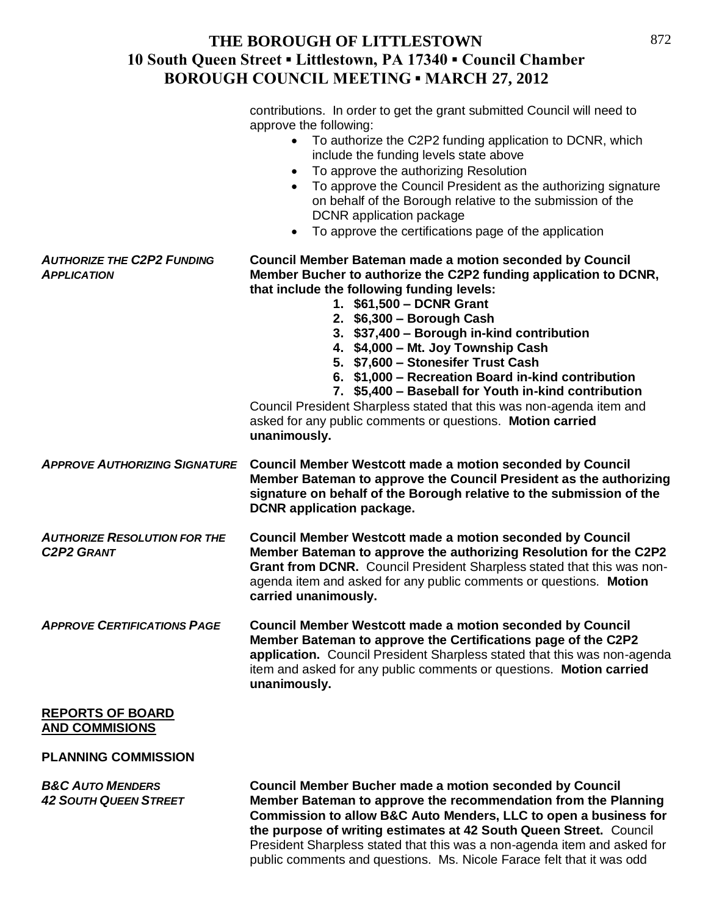|                                                             | contributions. In order to get the grant submitted Council will need to<br>approve the following:<br>• To authorize the C2P2 funding application to DCNR, which<br>include the funding levels state above<br>To approve the authorizing Resolution<br>To approve the Council President as the authorizing signature<br>on behalf of the Borough relative to the submission of the<br>DCNR application package<br>To approve the certifications page of the application                                                                                                                                                                   |
|-------------------------------------------------------------|------------------------------------------------------------------------------------------------------------------------------------------------------------------------------------------------------------------------------------------------------------------------------------------------------------------------------------------------------------------------------------------------------------------------------------------------------------------------------------------------------------------------------------------------------------------------------------------------------------------------------------------|
| <b>AUTHORIZE THE C2P2 FUNDING</b><br><b>APPLICATION</b>     | <b>Council Member Bateman made a motion seconded by Council</b><br>Member Bucher to authorize the C2P2 funding application to DCNR,<br>that include the following funding levels:<br>1. \$61,500 - DCNR Grant<br>2. \$6,300 - Borough Cash<br>3. \$37,400 - Borough in-kind contribution<br>4. \$4,000 - Mt. Joy Township Cash<br>5. \$7,600 - Stonesifer Trust Cash<br>6. \$1,000 - Recreation Board in-kind contribution<br>7. \$5,400 - Baseball for Youth in-kind contribution<br>Council President Sharpless stated that this was non-agenda item and<br>asked for any public comments or questions. Motion carried<br>unanimously. |
| <b>APPROVE AUTHORIZING SIGNATURE</b>                        | <b>Council Member Westcott made a motion seconded by Council</b><br>Member Bateman to approve the Council President as the authorizing<br>signature on behalf of the Borough relative to the submission of the<br><b>DCNR</b> application package.                                                                                                                                                                                                                                                                                                                                                                                       |
| <b>AUTHORIZE RESOLUTION FOR THE</b><br><b>C2P2 GRANT</b>    | <b>Council Member Westcott made a motion seconded by Council</b><br>Member Bateman to approve the authorizing Resolution for the C2P2<br>Grant from DCNR. Council President Sharpless stated that this was non-<br>agenda item and asked for any public comments or questions. Motion<br>carried unanimously.                                                                                                                                                                                                                                                                                                                            |
| <b>APPROVE CERTIFICATIONS PAGE</b>                          | <b>Council Member Westcott made a motion seconded by Council</b><br>Member Bateman to approve the Certifications page of the C2P2<br>application. Council President Sharpless stated that this was non-agenda<br>item and asked for any public comments or questions. Motion carried<br>unanimously.                                                                                                                                                                                                                                                                                                                                     |
| <b>REPORTS OF BOARD</b><br><b>AND COMMISIONS</b>            |                                                                                                                                                                                                                                                                                                                                                                                                                                                                                                                                                                                                                                          |
| <b>PLANNING COMMISSION</b>                                  |                                                                                                                                                                                                                                                                                                                                                                                                                                                                                                                                                                                                                                          |
| <b>B&amp;C AUTO MENDERS</b><br><b>42 SOUTH QUEEN STREET</b> | <b>Council Member Bucher made a motion seconded by Council</b><br>Member Bateman to approve the recommendation from the Planning<br>Commission to allow B&C Auto Menders, LLC to open a business for                                                                                                                                                                                                                                                                                                                                                                                                                                     |

**the purpose of writing estimates at 42 South Queen Street.** Council President Sharpless stated that this was a non-agenda item and asked for public comments and questions. Ms. Nicole Farace felt that it was odd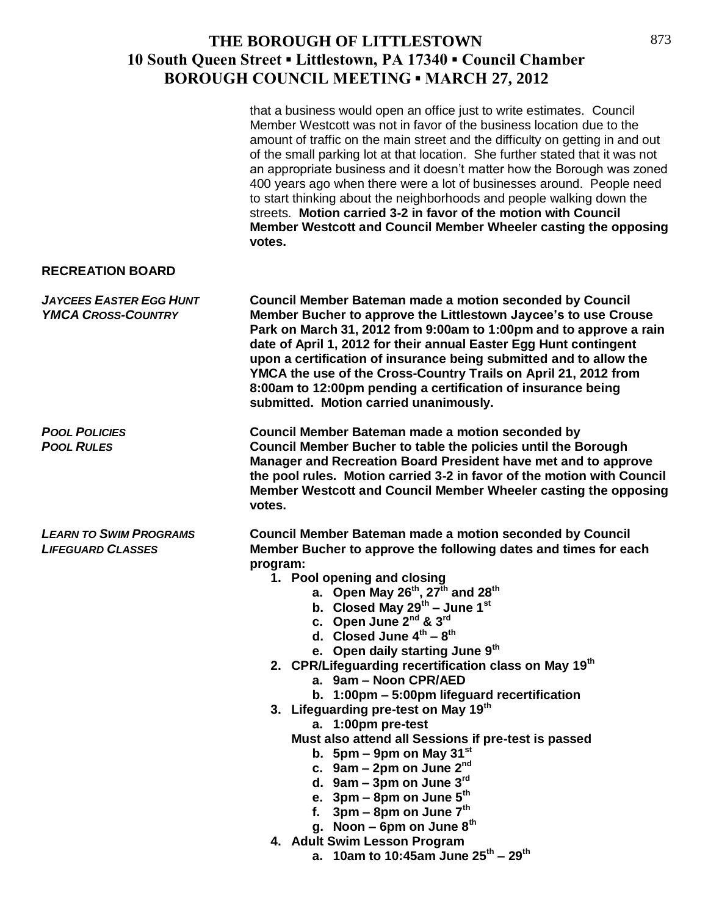|                                                             | that a business would open an office just to write estimates. Council<br>Member Westcott was not in favor of the business location due to the<br>amount of traffic on the main street and the difficulty on getting in and out<br>of the small parking lot at that location. She further stated that it was not<br>an appropriate business and it doesn't matter how the Borough was zoned<br>400 years ago when there were a lot of businesses around. People need<br>to start thinking about the neighborhoods and people walking down the<br>streets. Motion carried 3-2 in favor of the motion with Council<br>Member Westcott and Council Member Wheeler casting the opposing<br>votes.                                                                                                                                                                                                                                                                                                                                             |
|-------------------------------------------------------------|------------------------------------------------------------------------------------------------------------------------------------------------------------------------------------------------------------------------------------------------------------------------------------------------------------------------------------------------------------------------------------------------------------------------------------------------------------------------------------------------------------------------------------------------------------------------------------------------------------------------------------------------------------------------------------------------------------------------------------------------------------------------------------------------------------------------------------------------------------------------------------------------------------------------------------------------------------------------------------------------------------------------------------------|
| <b>RECREATION BOARD</b>                                     |                                                                                                                                                                                                                                                                                                                                                                                                                                                                                                                                                                                                                                                                                                                                                                                                                                                                                                                                                                                                                                          |
| <b>JAYCEES EASTER EGG HUNT</b><br><b>YMCA CROSS-COUNTRY</b> | <b>Council Member Bateman made a motion seconded by Council</b><br>Member Bucher to approve the Littlestown Jaycee's to use Crouse<br>Park on March 31, 2012 from 9:00am to 1:00pm and to approve a rain<br>date of April 1, 2012 for their annual Easter Egg Hunt contingent<br>upon a certification of insurance being submitted and to allow the<br>YMCA the use of the Cross-Country Trails on April 21, 2012 from<br>8:00am to 12:00pm pending a certification of insurance being<br>submitted. Motion carried unanimously.                                                                                                                                                                                                                                                                                                                                                                                                                                                                                                         |
| <b>POOL POLICIES</b><br><b>POOL RULES</b>                   | <b>Council Member Bateman made a motion seconded by</b><br>Council Member Bucher to table the policies until the Borough<br>Manager and Recreation Board President have met and to approve<br>the pool rules. Motion carried 3-2 in favor of the motion with Council<br>Member Westcott and Council Member Wheeler casting the opposing<br>votes.                                                                                                                                                                                                                                                                                                                                                                                                                                                                                                                                                                                                                                                                                        |
| <b>LEARN TO SWIM PROGRAMS</b><br><b>LIFEGUARD CLASSES</b>   | Council Member Bateman made a motion seconded by Council<br>Member Bucher to approve the following dates and times for each<br>program:<br>1. Pool opening and closing<br>a. Open May 26 <sup>th</sup> , 27 <sup>th</sup> and 28 <sup>th</sup><br>b. Closed May $29^{th}$ – June 1st<br>c. Open June 2 <sup>nd</sup> & 3 <sup>rd</sup><br>d. Closed June $4^{th} - 8^{th}$<br>e. Open daily starting June 9th<br>2. CPR/Lifeguarding recertification class on May 19 <sup>th</sup><br>a. 9am - Noon CPR/AED<br>b. 1:00pm - 5:00pm lifeguard recertification<br>3. Lifeguarding pre-test on May 19 <sup>th</sup><br>a. 1:00pm pre-test<br>Must also attend all Sessions if pre-test is passed<br>b. $5 \text{pm} - 9 \text{pm}$ on May 31 <sup>st</sup><br>c. 9am $-$ 2pm on June 2 <sup>nd</sup><br>d. $9am - 3pm$ on June $3rd$<br>e. $3 \text{pm} - 8 \text{pm}$ on June $5^{\text{th}}$<br>f. $3pm - 8pm$ on June $7th$<br>g. Noon – 6pm on June $8th$<br>4. Adult Swim Lesson Program<br>a. 10am to 10:45am June $25^{th} - 29^{th}$ |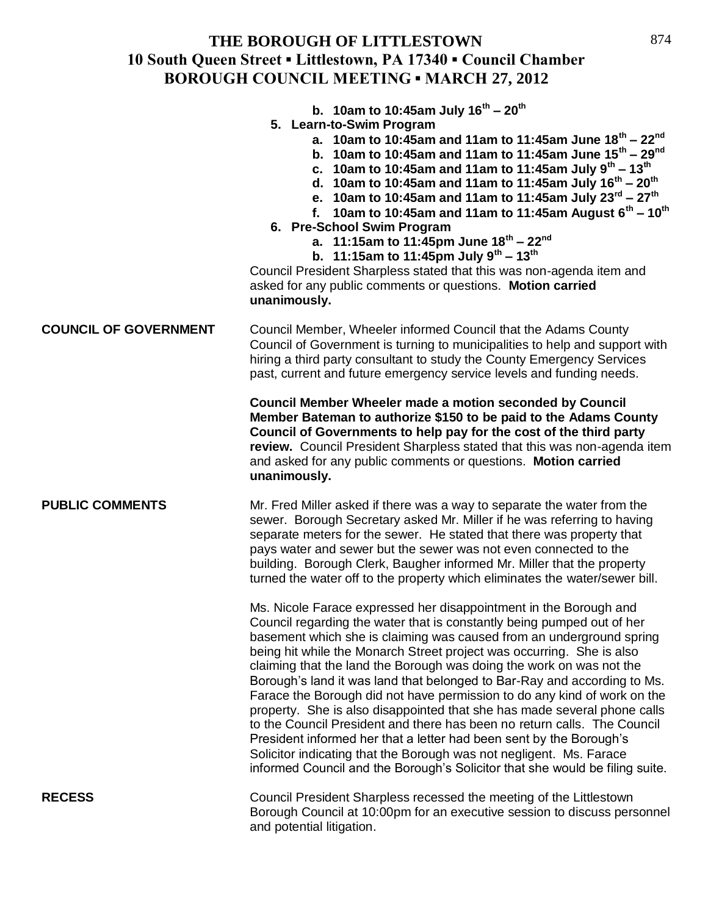|                              | b. 10am to 10:45am July $16^{th} - 20^{th}$<br>5. Learn-to-Swim Program<br>a. 10am to 10:45am and 11am to 11:45am June $18^{th} - 22^{nd}$<br>b. 10am to 10:45am and 11am to 11:45am June $15^{th} - 29^{nd}$<br>c. 10am to 10:45am and 11am to 11:45am July $9^{th} - 13^{th}$<br>d. 10am to 10:45am and 11am to 11:45am July $16^{th} - 20^{th}$<br>e. 10am to 10:45am and 11am to 11:45am July $23^{rd} - 27^{th}$<br>f. 10am to 10:45am and 11am to 11:45am August $6^{th} - 10^{th}$<br>6. Pre-School Swim Program<br>a. 11:15am to 11:45pm June $18^{th} - 22^{nd}$<br>b. 11:15am to 11:45pm July $9^{th}$ – 13 <sup>th</sup><br>Council President Sharpless stated that this was non-agenda item and<br>asked for any public comments or questions. Motion carried<br>unanimously.                                                                                                                          |
|------------------------------|--------------------------------------------------------------------------------------------------------------------------------------------------------------------------------------------------------------------------------------------------------------------------------------------------------------------------------------------------------------------------------------------------------------------------------------------------------------------------------------------------------------------------------------------------------------------------------------------------------------------------------------------------------------------------------------------------------------------------------------------------------------------------------------------------------------------------------------------------------------------------------------------------------------------|
| <b>COUNCIL OF GOVERNMENT</b> | Council Member, Wheeler informed Council that the Adams County<br>Council of Government is turning to municipalities to help and support with<br>hiring a third party consultant to study the County Emergency Services<br>past, current and future emergency service levels and funding needs.                                                                                                                                                                                                                                                                                                                                                                                                                                                                                                                                                                                                                    |
|                              | Council Member Wheeler made a motion seconded by Council<br>Member Bateman to authorize \$150 to be paid to the Adams County<br>Council of Governments to help pay for the cost of the third party<br>review. Council President Sharpless stated that this was non-agenda item<br>and asked for any public comments or questions. Motion carried<br>unanimously.                                                                                                                                                                                                                                                                                                                                                                                                                                                                                                                                                   |
| <b>PUBLIC COMMENTS</b>       | Mr. Fred Miller asked if there was a way to separate the water from the<br>sewer. Borough Secretary asked Mr. Miller if he was referring to having<br>separate meters for the sewer. He stated that there was property that<br>pays water and sewer but the sewer was not even connected to the<br>building. Borough Clerk, Baugher informed Mr. Miller that the property<br>turned the water off to the property which eliminates the water/sewer bill.                                                                                                                                                                                                                                                                                                                                                                                                                                                           |
|                              | Ms. Nicole Farace expressed her disappointment in the Borough and<br>Council regarding the water that is constantly being pumped out of her<br>basement which she is claiming was caused from an underground spring<br>being hit while the Monarch Street project was occurring. She is also<br>claiming that the land the Borough was doing the work on was not the<br>Borough's land it was land that belonged to Bar-Ray and according to Ms.<br>Farace the Borough did not have permission to do any kind of work on the<br>property. She is also disappointed that she has made several phone calls<br>to the Council President and there has been no return calls. The Council<br>President informed her that a letter had been sent by the Borough's<br>Solicitor indicating that the Borough was not negligent. Ms. Farace<br>informed Council and the Borough's Solicitor that she would be filing suite. |
| <b>RECESS</b>                | Council President Sharpless recessed the meeting of the Littlestown<br>Borough Council at 10:00pm for an executive session to discuss personnel<br>and potential litigation.                                                                                                                                                                                                                                                                                                                                                                                                                                                                                                                                                                                                                                                                                                                                       |